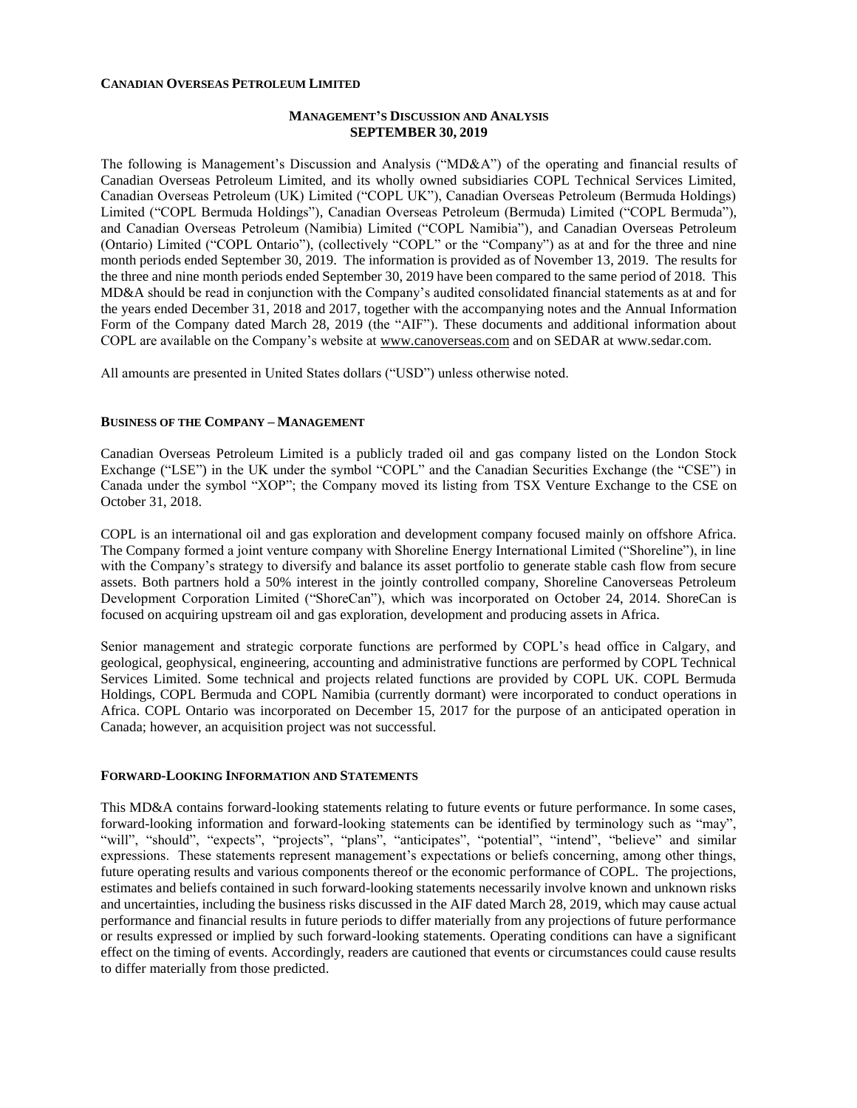#### **CANADIAN OVERSEAS PETROLEUM LIMITED**

### **MANAGEMENT'S DISCUSSION AND ANALYSIS SEPTEMBER 30, 2019**

The following is Management's Discussion and Analysis ("MD&A") of the operating and financial results of Canadian Overseas Petroleum Limited, and its wholly owned subsidiaries COPL Technical Services Limited, Canadian Overseas Petroleum (UK) Limited ("COPL UK"), Canadian Overseas Petroleum (Bermuda Holdings) Limited ("COPL Bermuda Holdings"), Canadian Overseas Petroleum (Bermuda) Limited ("COPL Bermuda"), and Canadian Overseas Petroleum (Namibia) Limited ("COPL Namibia"), and Canadian Overseas Petroleum (Ontario) Limited ("COPL Ontario"), (collectively "COPL" or the "Company") as at and for the three and nine month periods ended September 30, 2019. The information is provided as of November 13, 2019. The results for the three and nine month periods ended September 30, 2019 have been compared to the same period of 2018. This MD&A should be read in conjunction with the Company's audited consolidated financial statements as at and for the years ended December 31, 2018 and 2017, together with the accompanying notes and the Annual Information Form of the Company dated March 28, 2019 (the "AIF"). These documents and additional information about COPL are available on the Company's website at [www.canoverseas.com](http://www.canoverseas.com/) and on SEDAR at [www.sedar.com.](http://www.sedar.com/)

All amounts are presented in United States dollars ("USD") unless otherwise noted.

#### **BUSINESS OF THE COMPANY – MANAGEMENT**

Canadian Overseas Petroleum Limited is a publicly traded oil and gas company listed on the London Stock Exchange ("LSE") in the UK under the symbol "COPL" and the Canadian Securities Exchange (the "CSE") in Canada under the symbol "XOP"; the Company moved its listing from TSX Venture Exchange to the CSE on October 31, 2018.

COPL is an international oil and gas exploration and development company focused mainly on offshore Africa. The Company formed a joint venture company with Shoreline Energy International Limited ("Shoreline"), in line with the Company's strategy to diversify and balance its asset portfolio to generate stable cash flow from secure assets. Both partners hold a 50% interest in the jointly controlled company, Shoreline Canoverseas Petroleum Development Corporation Limited ("ShoreCan"), which was incorporated on October 24, 2014. ShoreCan is focused on acquiring upstream oil and gas exploration, development and producing assets in Africa.

Senior management and strategic corporate functions are performed by COPL's head office in Calgary, and geological, geophysical, engineering, accounting and administrative functions are performed by COPL Technical Services Limited. Some technical and projects related functions are provided by COPL UK. COPL Bermuda Holdings, COPL Bermuda and COPL Namibia (currently dormant) were incorporated to conduct operations in Africa. COPL Ontario was incorporated on December 15, 2017 for the purpose of an anticipated operation in Canada; however, an acquisition project was not successful.

#### **FORWARD-LOOKING INFORMATION AND STATEMENTS**

This MD&A contains forward-looking statements relating to future events or future performance. In some cases, forward-looking information and forward-looking statements can be identified by terminology such as "may", "will", "should", "expects", "projects", "plans", "anticipates", "potential", "intend", "believe" and similar expressions. These statements represent management's expectations or beliefs concerning, among other things, future operating results and various components thereof or the economic performance of COPL. The projections, estimates and beliefs contained in such forward-looking statements necessarily involve known and unknown risks and uncertainties, including the business risks discussed in the AIF dated March 28, 2019, which may cause actual performance and financial results in future periods to differ materially from any projections of future performance or results expressed or implied by such forward-looking statements. Operating conditions can have a significant effect on the timing of events. Accordingly, readers are cautioned that events or circumstances could cause results to differ materially from those predicted.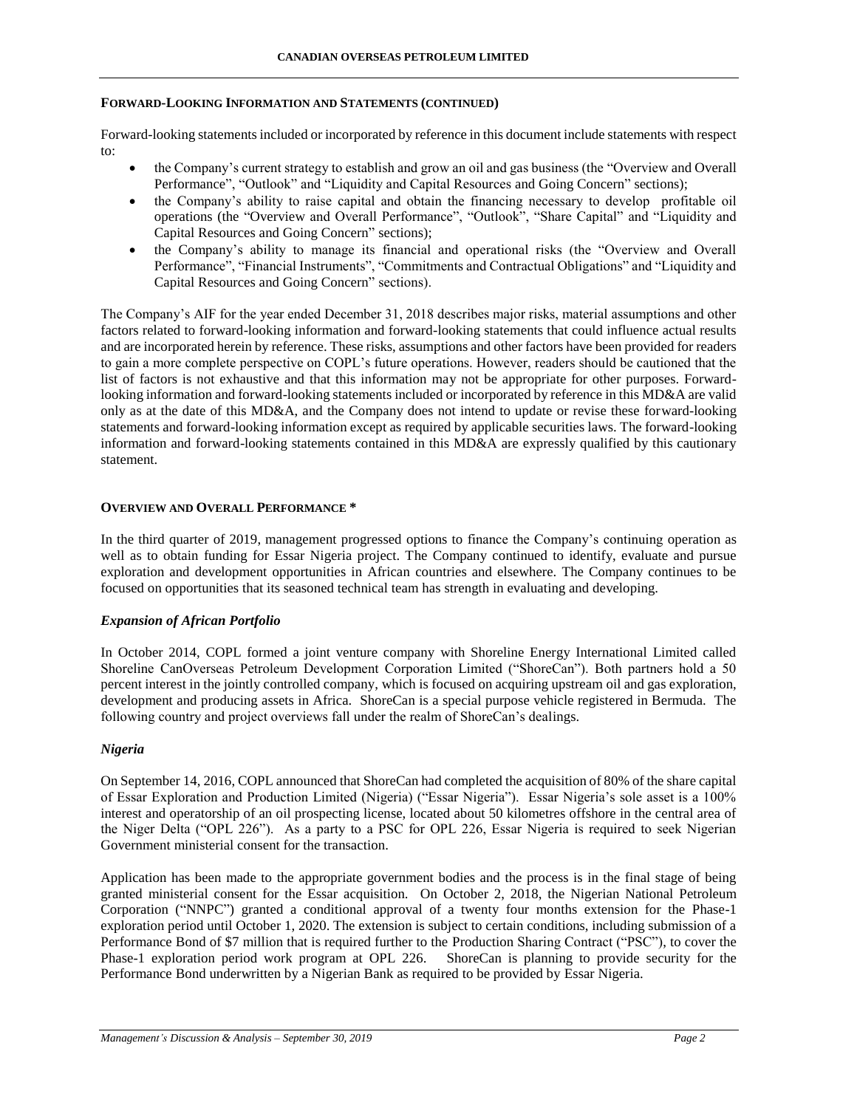### **FORWARD-LOOKING INFORMATION AND STATEMENTS (CONTINUED)**

Forward-looking statements included or incorporated by reference in this document include statements with respect to:

- the Company's current strategy to establish and grow an oil and gas business (the "Overview and Overall Performance", "Outlook" and "Liquidity and Capital Resources and Going Concern" sections);
- the Company's ability to raise capital and obtain the financing necessary to develop profitable oil operations (the "Overview and Overall Performance", "Outlook", "Share Capital" and "Liquidity and Capital Resources and Going Concern" sections);
- the Company's ability to manage its financial and operational risks (the "Overview and Overall Performance", "Financial Instruments", "Commitments and Contractual Obligations" and "Liquidity and Capital Resources and Going Concern" sections).

The Company's AIF for the year ended December 31, 2018 describes major risks, material assumptions and other factors related to forward-looking information and forward-looking statements that could influence actual results and are incorporated herein by reference. These risks, assumptions and other factors have been provided for readers to gain a more complete perspective on COPL's future operations. However, readers should be cautioned that the list of factors is not exhaustive and that this information may not be appropriate for other purposes. Forwardlooking information and forward-looking statements included or incorporated by reference in this MD&A are valid only as at the date of this MD&A, and the Company does not intend to update or revise these forward-looking statements and forward-looking information except as required by applicable securities laws. The forward-looking information and forward-looking statements contained in this MD&A are expressly qualified by this cautionary statement.

## **OVERVIEW AND OVERALL PERFORMANCE \***

In the third quarter of 2019, management progressed options to finance the Company's continuing operation as well as to obtain funding for Essar Nigeria project. The Company continued to identify, evaluate and pursue exploration and development opportunities in African countries and elsewhere. The Company continues to be focused on opportunities that its seasoned technical team has strength in evaluating and developing.

### *Expansion of African Portfolio*

In October 2014, COPL formed a joint venture company with Shoreline Energy International Limited called Shoreline CanOverseas Petroleum Development Corporation Limited ("ShoreCan"). Both partners hold a 50 percent interest in the jointly controlled company, which is focused on acquiring upstream oil and gas exploration, development and producing assets in Africa. ShoreCan is a special purpose vehicle registered in Bermuda. The following country and project overviews fall under the realm of ShoreCan's dealings.

### *Nigeria*

On September 14, 2016, COPL announced that ShoreCan had completed the acquisition of 80% of the share capital of Essar Exploration and Production Limited (Nigeria) ("Essar Nigeria"). Essar Nigeria's sole asset is a 100% interest and operatorship of an oil prospecting license, located about 50 kilometres offshore in the central area of the Niger Delta ("OPL 226"). As a party to a PSC for OPL 226, Essar Nigeria is required to seek Nigerian Government ministerial consent for the transaction.

Application has been made to the appropriate government bodies and the process is in the final stage of being granted ministerial consent for the Essar acquisition. On October 2, 2018, the Nigerian National Petroleum Corporation ("NNPC") granted a conditional approval of a twenty four months extension for the Phase-1 exploration period until October 1, 2020. The extension is subject to certain conditions, including submission of a Performance Bond of \$7 million that is required further to the Production Sharing Contract ("PSC"), to cover the Phase-1 exploration period work program at OPL 226. ShoreCan is planning to provide security for the Performance Bond underwritten by a Nigerian Bank as required to be provided by Essar Nigeria.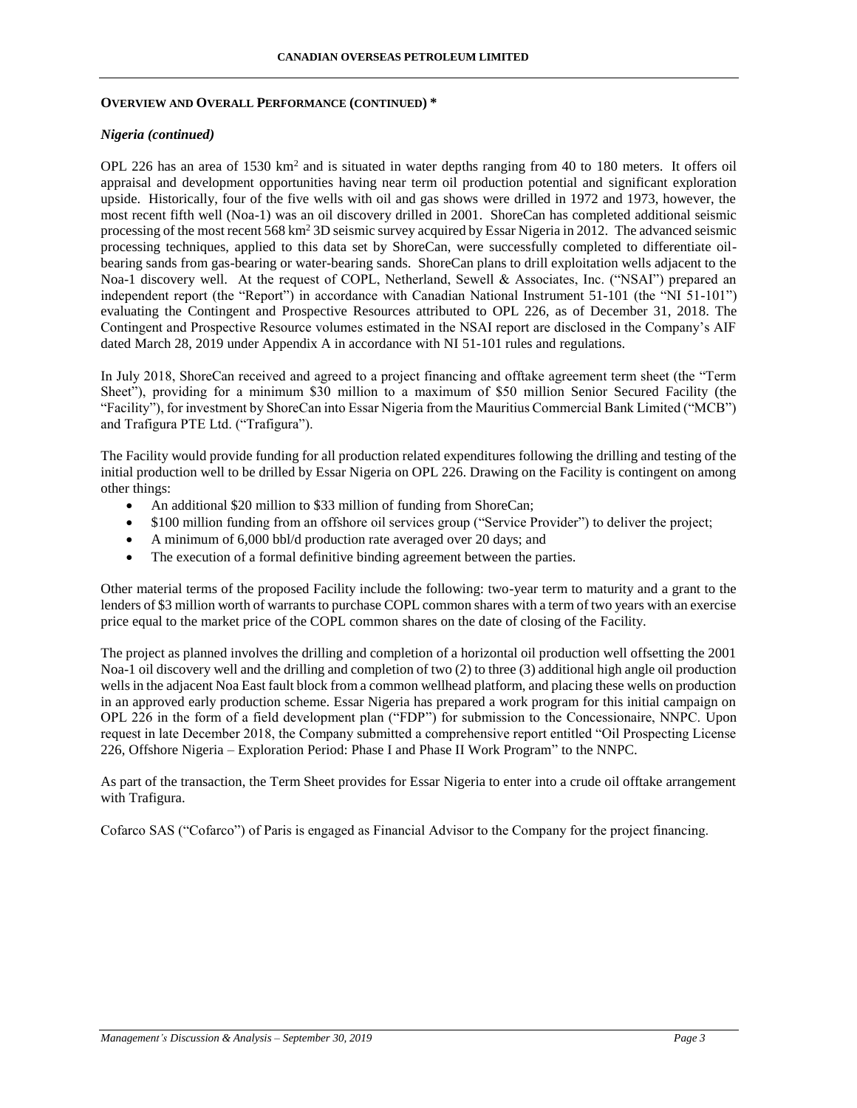#### **OVERVIEW AND OVERALL PERFORMANCE (CONTINUED) \***

### *Nigeria (continued)*

OPL 226 has an area of 1530  $km^2$  and is situated in water depths ranging from 40 to 180 meters. It offers oil appraisal and development opportunities having near term oil production potential and significant exploration upside. Historically, four of the five wells with oil and gas shows were drilled in 1972 and 1973, however, the most recent fifth well (Noa-1) was an oil discovery drilled in 2001. ShoreCan has completed additional seismic processing of the most recent 568 km<sup>2</sup> 3D seismic survey acquired by Essar Nigeria in 2012. The advanced seismic processing techniques, applied to this data set by ShoreCan, were successfully completed to differentiate oilbearing sands from gas-bearing or water-bearing sands. ShoreCan plans to drill exploitation wells adjacent to the Noa-1 discovery well. At the request of COPL, Netherland, Sewell & Associates, Inc. ("NSAI") prepared an independent report (the "Report") in accordance with Canadian National Instrument 51-101 (the "NI 51-101") evaluating the Contingent and Prospective Resources attributed to OPL 226, as of December 31, 2018. The Contingent and Prospective Resource volumes estimated in the NSAI report are disclosed in the Company's AIF dated March 28, 2019 under Appendix A in accordance with NI 51-101 rules and regulations.

In July 2018, ShoreCan received and agreed to a project financing and offtake agreement term sheet (the "Term Sheet"), providing for a minimum \$30 million to a maximum of \$50 million Senior Secured Facility (the "Facility"), for investment by ShoreCan into Essar Nigeria from the Mauritius Commercial Bank Limited ("MCB") and Trafigura PTE Ltd. ("Trafigura").

The Facility would provide funding for all production related expenditures following the drilling and testing of the initial production well to be drilled by Essar Nigeria on OPL 226. Drawing on the Facility is contingent on among other things:

- An additional \$20 million to \$33 million of funding from ShoreCan;
- \$100 million funding from an offshore oil services group ("Service Provider") to deliver the project;
- A minimum of 6,000 bbl/d production rate averaged over 20 days; and
- The execution of a formal definitive binding agreement between the parties.

Other material terms of the proposed Facility include the following: two-year term to maturity and a grant to the lenders of \$3 million worth of warrants to purchase COPL common shares with a term of two years with an exercise price equal to the market price of the COPL common shares on the date of closing of the Facility.

The project as planned involves the drilling and completion of a horizontal oil production well offsetting the 2001 Noa-1 oil discovery well and the drilling and completion of two (2) to three (3) additional high angle oil production wells in the adjacent Noa East fault block from a common wellhead platform, and placing these wells on production in an approved early production scheme. Essar Nigeria has prepared a work program for this initial campaign on OPL 226 in the form of a field development plan ("FDP") for submission to the Concessionaire, NNPC. Upon request in late December 2018, the Company submitted a comprehensive report entitled "Oil Prospecting License 226, Offshore Nigeria – Exploration Period: Phase I and Phase II Work Program" to the NNPC.

As part of the transaction, the Term Sheet provides for Essar Nigeria to enter into a crude oil offtake arrangement with Trafigura.

Cofarco SAS ("Cofarco") of Paris is engaged as Financial Advisor to the Company for the project financing.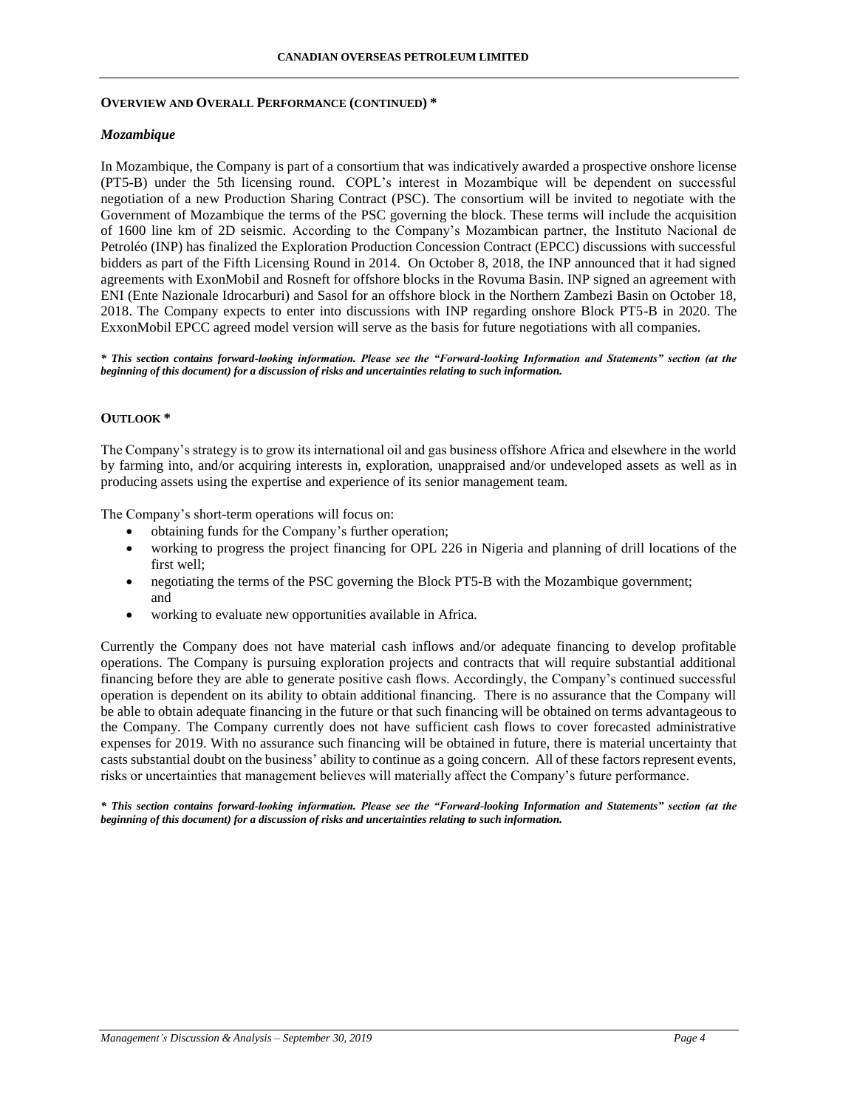#### **OVERVIEW AND OVERALL PERFORMANCE (CONTINUED) \***

### *Mozambique*

In Mozambique, the Company is part of a consortium that was indicatively awarded a prospective onshore license (PT5-B) under the 5th licensing round. COPL's interest in Mozambique will be dependent on successful negotiation of a new Production Sharing Contract (PSC). The consortium will be invited to negotiate with the Government of Mozambique the terms of the PSC governing the block. These terms will include the acquisition of 1600 line km of 2D seismic. According to the Company's Mozambican partner, the Instituto Nacional de Petroléo (INP) has finalized the Exploration Production Concession Contract (EPCC) discussions with successful bidders as part of the Fifth Licensing Round in 2014. On October 8, 2018, the INP announced that it had signed agreements with ExonMobil and Rosneft for offshore blocks in the Rovuma Basin. INP signed an agreement with ENI (Ente Nazionale Idrocarburi) and Sasol for an offshore block in the Northern Zambezi Basin on October 18, 2018. The Company expects to enter into discussions with INP regarding onshore Block PT5-B in 2020. The ExxonMobil EPCC agreed model version will serve as the basis for future negotiations with all companies.

*\* This section contains forward-looking information. Please see the "Forward-looking Information and Statements" section (at the beginning of this document) for a discussion of risks and uncertainties relating to such information.*

## **OUTLOOK \***

The Company's strategy is to grow its international oil and gas business offshore Africa and elsewhere in the world by farming into, and/or acquiring interests in, exploration, unappraised and/or undeveloped assets as well as in producing assets using the expertise and experience of its senior management team.

The Company's short-term operations will focus on:

- obtaining funds for the Company's further operation;
- working to progress the project financing for OPL 226 in Nigeria and planning of drill locations of the first well;
- negotiating the terms of the PSC governing the Block PT5-B with the Mozambique government; and
- working to evaluate new opportunities available in Africa.

Currently the Company does not have material cash inflows and/or adequate financing to develop profitable operations. The Company is pursuing exploration projects and contracts that will require substantial additional financing before they are able to generate positive cash flows. Accordingly, the Company's continued successful operation is dependent on its ability to obtain additional financing. There is no assurance that the Company will be able to obtain adequate financing in the future or that such financing will be obtained on terms advantageous to the Company. The Company currently does not have sufficient cash flows to cover forecasted administrative expenses for 2019. With no assurance such financing will be obtained in future, there is material uncertainty that casts substantial doubt on the business' ability to continue as a going concern. All of these factors represent events, risks or uncertainties that management believes will materially affect the Company's future performance.

*\* This section contains forward-looking information. Please see the "Forward-looking Information and Statements" section (at the beginning of this document) for a discussion of risks and uncertainties relating to such information.*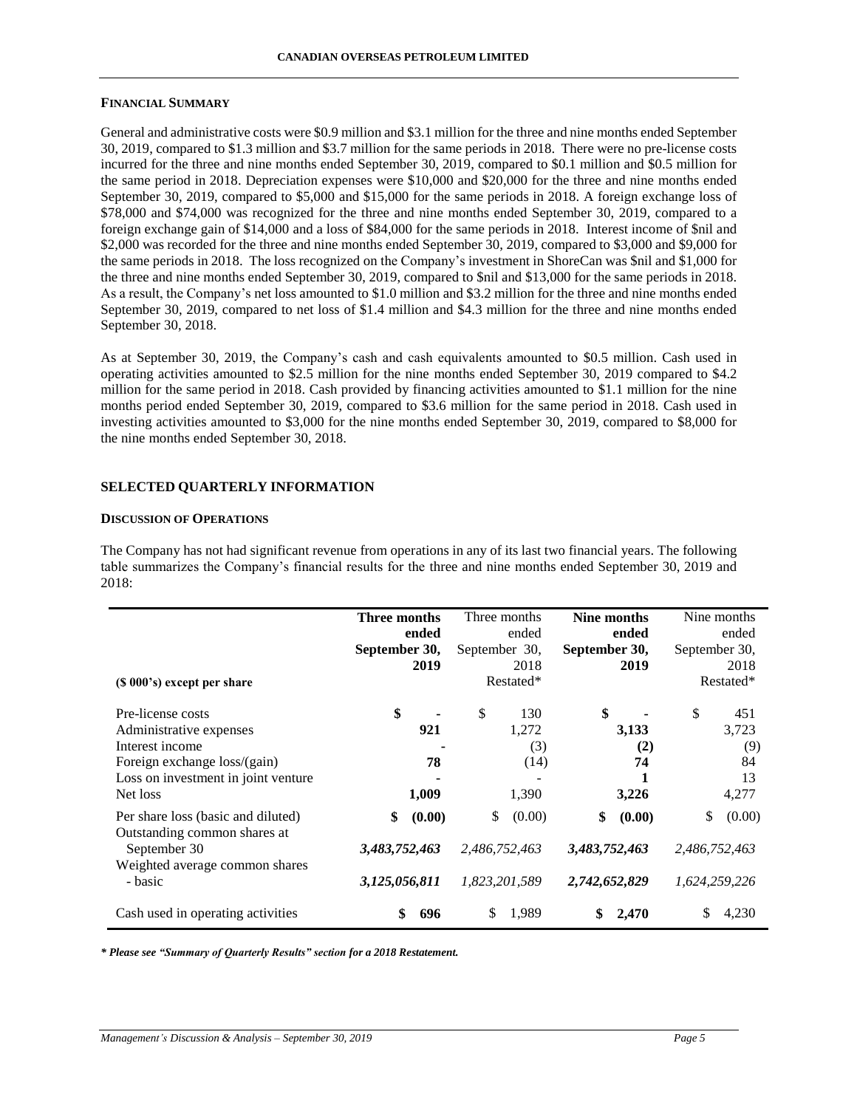#### **FINANCIAL SUMMARY**

General and administrative costs were \$0.9 million and \$3.1 million for the three and nine months ended September 30, 2019, compared to \$1.3 million and \$3.7 million for the same periods in 2018. There were no pre-license costs incurred for the three and nine months ended September 30, 2019, compared to \$0.1 million and \$0.5 million for the same period in 2018. Depreciation expenses were \$10,000 and \$20,000 for the three and nine months ended September 30, 2019, compared to \$5,000 and \$15,000 for the same periods in 2018. A foreign exchange loss of \$78,000 and \$74,000 was recognized for the three and nine months ended September 30, 2019, compared to a foreign exchange gain of \$14,000 and a loss of \$84,000 for the same periods in 2018. Interest income of \$nil and \$2,000 was recorded for the three and nine months ended September 30, 2019, compared to \$3,000 and \$9,000 for the same periods in 2018. The loss recognized on the Company's investment in ShoreCan was \$nil and \$1,000 for the three and nine months ended September 30, 2019, compared to \$nil and \$13,000 for the same periods in 2018. As a result, the Company's net loss amounted to \$1.0 million and \$3.2 million for the three and nine months ended September 30, 2019, compared to net loss of \$1.4 million and \$4.3 million for the three and nine months ended September 30, 2018.

As at September 30, 2019, the Company's cash and cash equivalents amounted to \$0.5 million. Cash used in operating activities amounted to \$2.5 million for the nine months ended September 30, 2019 compared to \$4.2 million for the same period in 2018. Cash provided by financing activities amounted to \$1.1 million for the nine months period ended September 30, 2019, compared to \$3.6 million for the same period in 2018. Cash used in investing activities amounted to \$3,000 for the nine months ended September 30, 2019, compared to \$8,000 for the nine months ended September 30, 2018.

#### **SELECTED QUARTERLY INFORMATION**

#### **DISCUSSION OF OPERATIONS**

The Company has not had significant revenue from operations in any of its last two financial years. The following table summarizes the Company's financial results for the three and nine months ended September 30, 2019 and 2018:

|                                                                                                                                                                                   | Three months<br>ended<br>September 30,<br>2019 | Three months<br>ended<br>September 30,<br>2018<br>Restated* | Nine months<br>ended<br>September 30,<br>2019  | Nine months<br>ended<br>September 30,<br>2018<br>Restated* |
|-----------------------------------------------------------------------------------------------------------------------------------------------------------------------------------|------------------------------------------------|-------------------------------------------------------------|------------------------------------------------|------------------------------------------------------------|
| (\$ 000's) except per share<br>Pre-license costs<br>Administrative expenses<br>Interest income<br>Foreign exchange loss/(gain)<br>Loss on investment in joint venture<br>Net loss | \$<br>921<br>78<br>1,009                       | \$<br>130<br>1,272<br>(3)<br>(14)<br>1,390                  | \$<br>3,133<br>(2)<br>74<br>3,226              | \$<br>451<br>3,723<br>(9)<br>84<br>13<br>4,277             |
| Per share loss (basic and diluted)<br>Outstanding common shares at<br>September 30<br>Weighted average common shares<br>- basic                                                   | \$<br>(0.00)<br>3,483,752,463<br>3,125,056,811 | \$<br>(0.00)<br>2,486,752,463<br>1,823,201,589              | \$<br>(0.00)<br>3,483,752,463<br>2,742,652,829 | \$<br>(0.00)<br>2,486,752,463<br>1,624,259,226             |
| Cash used in operating activities                                                                                                                                                 | \$<br>696                                      | \$<br>1,989                                                 | 2,470                                          | \$<br>4,230                                                |

*\* Please see "Summary of Quarterly Results" section for a 2018 Restatement.*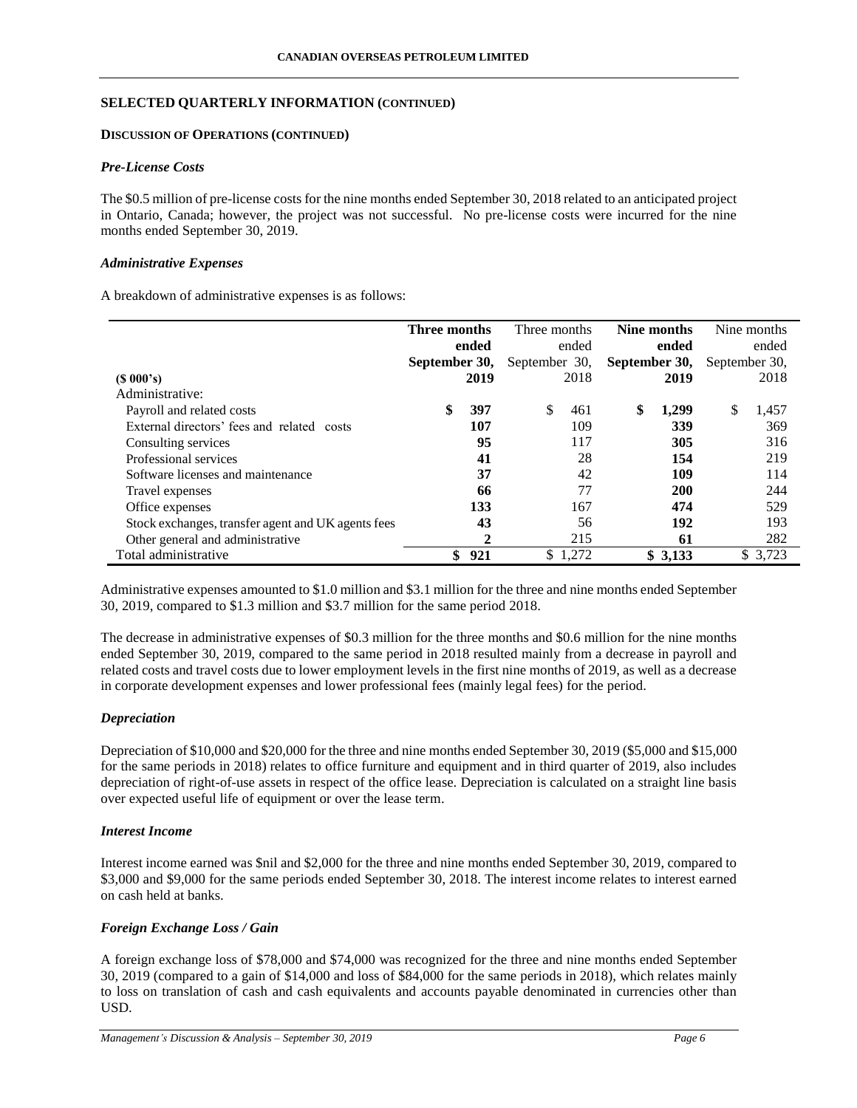## **SELECTED QUARTERLY INFORMATION (CONTINUED)**

### **DISCUSSION OF OPERATIONS (CONTINUED)**

### *Pre-License Costs*

The \$0.5 million of pre-license costs for the nine months ended September 30, 2018 related to an anticipated project in Ontario, Canada; however, the project was not successful. No pre-license costs were incurred for the nine months ended September 30, 2019.

### *Administrative Expenses*

A breakdown of administrative expenses is as follows:

|                                                    | Three months  |              | Three months  |         | Nine months   |               | Nine months |
|----------------------------------------------------|---------------|--------------|---------------|---------|---------------|---------------|-------------|
|                                                    |               | ended        |               | ended   | ended         |               | ended       |
|                                                    | September 30, |              | September 30, |         | September 30, | September 30, |             |
| $(S\ 000's)$                                       |               | 2019         |               | 2018    | 2019          |               | 2018        |
| Administrative:                                    |               |              |               |         |               |               |             |
| Payroll and related costs                          |               | 397          | \$.           | 461     | \$<br>1,299   | \$            | 1,457       |
| External directors' fees and related costs         |               | 107          |               | 109     | 339           |               | 369         |
| Consulting services                                |               | 95           |               | 117     | 305           |               | 316         |
| Professional services                              |               | 41           |               | 28      | 154           |               | 219         |
| Software licenses and maintenance                  |               | 37           |               | 42      | 109           |               | 114         |
| Travel expenses                                    |               | 66           |               | 77      | 200           |               | 244         |
| Office expenses                                    |               | 133          |               | 167     | 474           |               | 529         |
| Stock exchanges, transfer agent and UK agents fees |               | 43           |               | 56      | 192           |               | 193         |
| Other general and administrative                   |               | $\mathbf{2}$ |               | 215     | 61            |               | 282         |
| Total administrative                               | \$            | 921          |               | \$1,272 | \$3,133       |               | \$ 3,723    |

Administrative expenses amounted to \$1.0 million and \$3.1 million for the three and nine months ended September 30, 2019, compared to \$1.3 million and \$3.7 million for the same period 2018.

The decrease in administrative expenses of \$0.3 million for the three months and \$0.6 million for the nine months ended September 30, 2019, compared to the same period in 2018 resulted mainly from a decrease in payroll and related costs and travel costs due to lower employment levels in the first nine months of 2019, as well as a decrease in corporate development expenses and lower professional fees (mainly legal fees) for the period.

### *Depreciation*

Depreciation of \$10,000 and \$20,000 for the three and nine months ended September 30, 2019 (\$5,000 and \$15,000 for the same periods in 2018) relates to office furniture and equipment and in third quarter of 2019, also includes depreciation of right-of-use assets in respect of the office lease. Depreciation is calculated on a straight line basis over expected useful life of equipment or over the lease term.

## *Interest Income*

Interest income earned was \$nil and \$2,000 for the three and nine months ended September 30, 2019, compared to \$3,000 and \$9,000 for the same periods ended September 30, 2018. The interest income relates to interest earned on cash held at banks.

# *Foreign Exchange Loss / Gain*

A foreign exchange loss of \$78,000 and \$74,000 was recognized for the three and nine months ended September 30, 2019 (compared to a gain of \$14,000 and loss of \$84,000 for the same periods in 2018), which relates mainly to loss on translation of cash and cash equivalents and accounts payable denominated in currencies other than USD.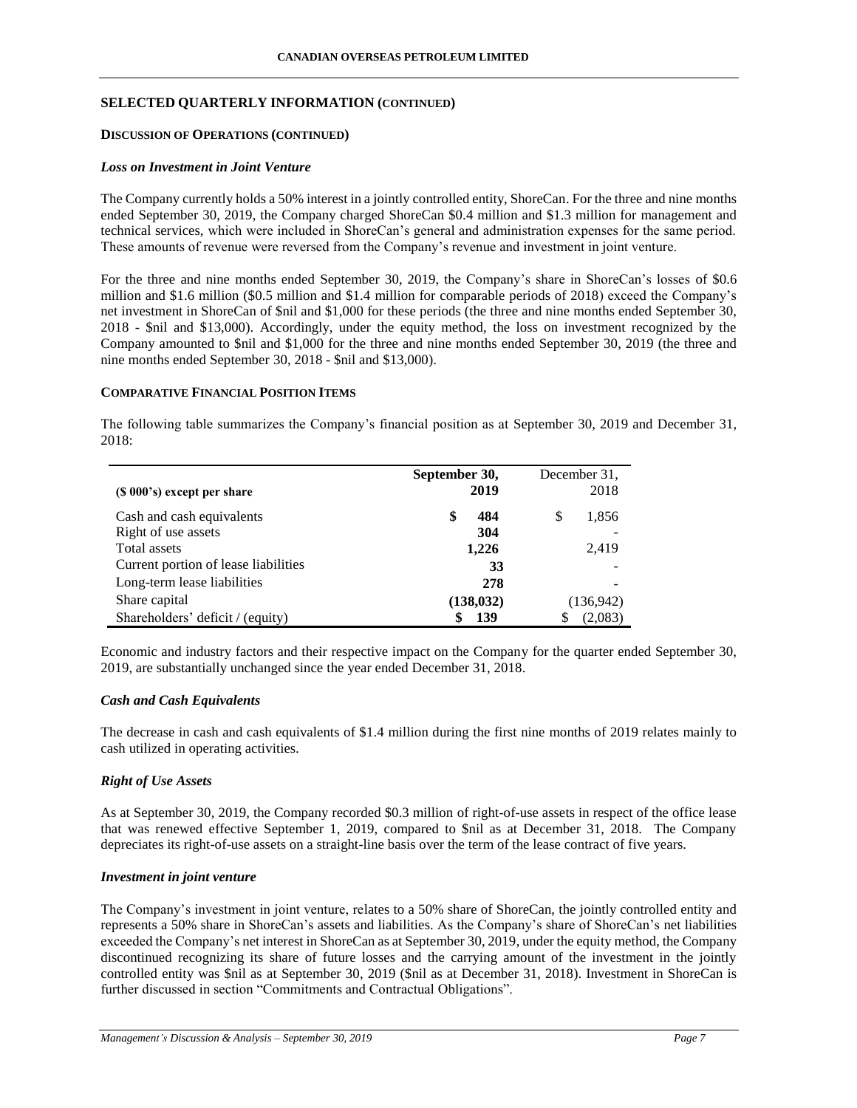## **SELECTED QUARTERLY INFORMATION (CONTINUED)**

### **DISCUSSION OF OPERATIONS (CONTINUED)**

### *Loss on Investment in Joint Venture*

The Company currently holds a 50% interest in a jointly controlled entity, ShoreCan. For the three and nine months ended September 30, 2019, the Company charged ShoreCan \$0.4 million and \$1.3 million for management and technical services, which were included in ShoreCan's general and administration expenses for the same period. These amounts of revenue were reversed from the Company's revenue and investment in joint venture.

For the three and nine months ended September 30, 2019, the Company's share in ShoreCan's losses of \$0.6 million and \$1.6 million (\$0.5 million and \$1.4 million for comparable periods of 2018) exceed the Company's net investment in ShoreCan of \$nil and \$1,000 for these periods (the three and nine months ended September 30, 2018 - \$nil and \$13,000). Accordingly, under the equity method, the loss on investment recognized by the Company amounted to \$nil and \$1,000 for the three and nine months ended September 30, 2019 (the three and nine months ended September 30, 2018 - \$nil and \$13,000).

## **COMPARATIVE FINANCIAL POSITION ITEMS**

The following table summarizes the Company's financial position as at September 30, 2019 and December 31, 2018:

| $(S 000's)$ except per share         | September 30,<br>2019 | December 31.<br>2018 |
|--------------------------------------|-----------------------|----------------------|
| Cash and cash equivalents            | 484<br>\$             | \$<br>1,856          |
| Right of use assets                  | 304                   |                      |
| Total assets                         | 1,226                 | 2,419                |
| Current portion of lease liabilities | 33                    |                      |
| Long-term lease liabilities          | 278                   |                      |
| Share capital                        | (138, 032)            | (136,942)            |
| Shareholders' deficit / (equity)     | 139                   | (2,083)              |

Economic and industry factors and their respective impact on the Company for the quarter ended September 30, 2019, are substantially unchanged since the year ended December 31, 2018.

## *Cash and Cash Equivalents*

The decrease in cash and cash equivalents of \$1.4 million during the first nine months of 2019 relates mainly to cash utilized in operating activities.

# *Right of Use Assets*

As at September 30, 2019, the Company recorded \$0.3 million of right-of-use assets in respect of the office lease that was renewed effective September 1, 2019, compared to \$nil as at December 31, 2018. The Company depreciates its right-of-use assets on a straight-line basis over the term of the lease contract of five years.

## *Investment in joint venture*

The Company's investment in joint venture, relates to a 50% share of ShoreCan, the jointly controlled entity and represents a 50% share in ShoreCan's assets and liabilities. As the Company's share of ShoreCan's net liabilities exceeded the Company's net interest in ShoreCan as at September 30, 2019, under the equity method, the Company discontinued recognizing its share of future losses and the carrying amount of the investment in the jointly controlled entity was \$nil as at September 30, 2019 (\$nil as at December 31, 2018). Investment in ShoreCan is further discussed in section "Commitments and Contractual Obligations".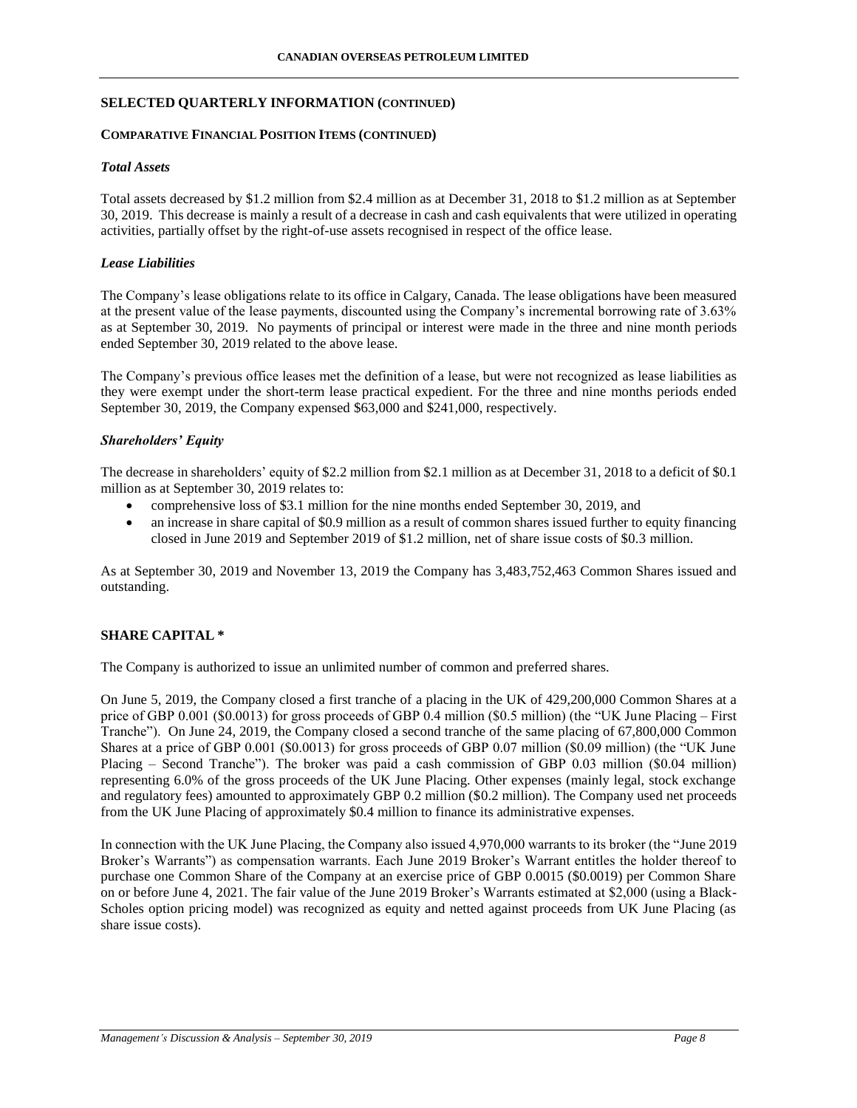## **SELECTED QUARTERLY INFORMATION (CONTINUED)**

# **COMPARATIVE FINANCIAL POSITION ITEMS (CONTINUED)**

## *Total Assets*

Total assets decreased by \$1.2 million from \$2.4 million as at December 31, 2018 to \$1.2 million as at September 30, 2019. This decrease is mainly a result of a decrease in cash and cash equivalents that were utilized in operating activities, partially offset by the right-of-use assets recognised in respect of the office lease.

## *Lease Liabilities*

The Company's lease obligations relate to its office in Calgary, Canada. The lease obligations have been measured at the present value of the lease payments, discounted using the Company's incremental borrowing rate of 3.63% as at September 30, 2019. No payments of principal or interest were made in the three and nine month periods ended September 30, 2019 related to the above lease.

The Company's previous office leases met the definition of a lease, but were not recognized as lease liabilities as they were exempt under the short-term lease practical expedient. For the three and nine months periods ended September 30, 2019, the Company expensed \$63,000 and \$241,000, respectively.

## *Shareholders' Equity*

The decrease in shareholders' equity of \$2.2 million from \$2.1 million as at December 31, 2018 to a deficit of \$0.1 million as at September 30, 2019 relates to:

- comprehensive loss of \$3.1 million for the nine months ended September 30, 2019, and
- an increase in share capital of \$0.9 million as a result of common shares issued further to equity financing closed in June 2019 and September 2019 of \$1.2 million, net of share issue costs of \$0.3 million.

As at September 30, 2019 and November 13, 2019 the Company has 3,483,752,463 Common Shares issued and outstanding.

# **SHARE CAPITAL \***

The Company is authorized to issue an unlimited number of common and preferred shares.

On June 5, 2019, the Company closed a first tranche of a placing in the UK of 429,200,000 Common Shares at a price of GBP 0.001 (\$0.0013) for gross proceeds of GBP 0.4 million (\$0.5 million) (the "UK June Placing – First Tranche"). On June 24, 2019, the Company closed a second tranche of the same placing of 67,800,000 Common Shares at a price of GBP 0.001 (\$0.0013) for gross proceeds of GBP 0.07 million (\$0.09 million) (the "UK June Placing – Second Tranche"). The broker was paid a cash commission of GBP 0.03 million (\$0.04 million) representing 6.0% of the gross proceeds of the UK June Placing. Other expenses (mainly legal, stock exchange and regulatory fees) amounted to approximately GBP 0.2 million (\$0.2 million). The Company used net proceeds from the UK June Placing of approximately \$0.4 million to finance its administrative expenses.

In connection with the UK June Placing, the Company also issued 4,970,000 warrants to its broker (the "June 2019 Broker's Warrants") as compensation warrants. Each June 2019 Broker's Warrant entitles the holder thereof to purchase one Common Share of the Company at an exercise price of GBP 0.0015 (\$0.0019) per Common Share on or before June 4, 2021. The fair value of the June 2019 Broker's Warrants estimated at \$2,000 (using a Black-Scholes option pricing model) was recognized as equity and netted against proceeds from UK June Placing (as share issue costs).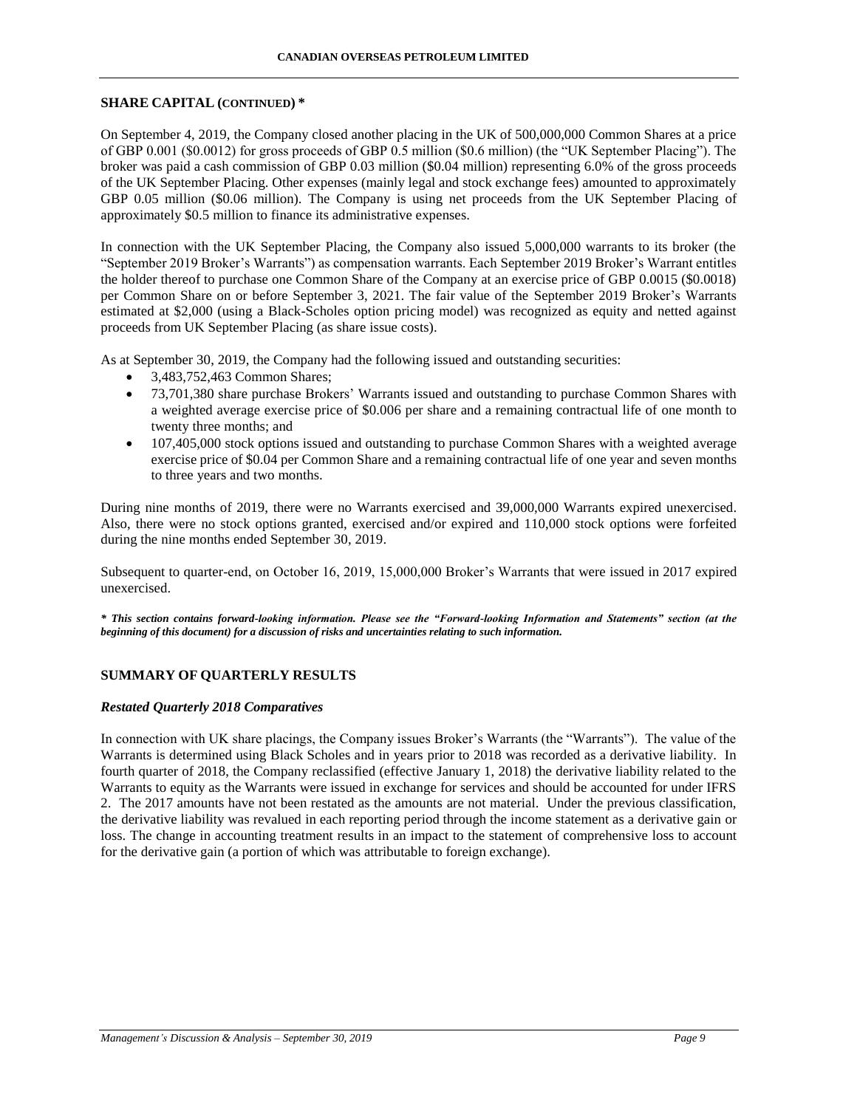### **SHARE CAPITAL (CONTINUED) \***

On September 4, 2019, the Company closed another placing in the UK of 500,000,000 Common Shares at a price of GBP 0.001 (\$0.0012) for gross proceeds of GBP 0.5 million (\$0.6 million) (the "UK September Placing"). The broker was paid a cash commission of GBP 0.03 million (\$0.04 million) representing 6.0% of the gross proceeds of the UK September Placing. Other expenses (mainly legal and stock exchange fees) amounted to approximately GBP 0.05 million (\$0.06 million). The Company is using net proceeds from the UK September Placing of approximately \$0.5 million to finance its administrative expenses.

In connection with the UK September Placing, the Company also issued 5,000,000 warrants to its broker (the "September 2019 Broker's Warrants") as compensation warrants. Each September 2019 Broker's Warrant entitles the holder thereof to purchase one Common Share of the Company at an exercise price of GBP 0.0015 (\$0.0018) per Common Share on or before September 3, 2021. The fair value of the September 2019 Broker's Warrants estimated at \$2,000 (using a Black-Scholes option pricing model) was recognized as equity and netted against proceeds from UK September Placing (as share issue costs).

As at September 30, 2019, the Company had the following issued and outstanding securities:

- 3,483,752,463 Common Shares;
- 73,701,380 share purchase Brokers' Warrants issued and outstanding to purchase Common Shares with a weighted average exercise price of \$0.006 per share and a remaining contractual life of one month to twenty three months; and
- 107,405,000 stock options issued and outstanding to purchase Common Shares with a weighted average exercise price of \$0.04 per Common Share and a remaining contractual life of one year and seven months to three years and two months.

During nine months of 2019, there were no Warrants exercised and 39,000,000 Warrants expired unexercised. Also, there were no stock options granted, exercised and/or expired and 110,000 stock options were forfeited during the nine months ended September 30, 2019.

Subsequent to quarter-end, on October 16, 2019, 15,000,000 Broker's Warrants that were issued in 2017 expired unexercised.

*\* This section contains forward-looking information. Please see the "Forward-looking Information and Statements" section (at the beginning of this document) for a discussion of risks and uncertainties relating to such information.*

# **SUMMARY OF QUARTERLY RESULTS**

### *Restated Quarterly 2018 Comparatives*

In connection with UK share placings, the Company issues Broker's Warrants (the "Warrants"). The value of the Warrants is determined using Black Scholes and in years prior to 2018 was recorded as a derivative liability. In fourth quarter of 2018, the Company reclassified (effective January 1, 2018) the derivative liability related to the Warrants to equity as the Warrants were issued in exchange for services and should be accounted for under IFRS 2. The 2017 amounts have not been restated as the amounts are not material. Under the previous classification, the derivative liability was revalued in each reporting period through the income statement as a derivative gain or loss. The change in accounting treatment results in an impact to the statement of comprehensive loss to account for the derivative gain (a portion of which was attributable to foreign exchange).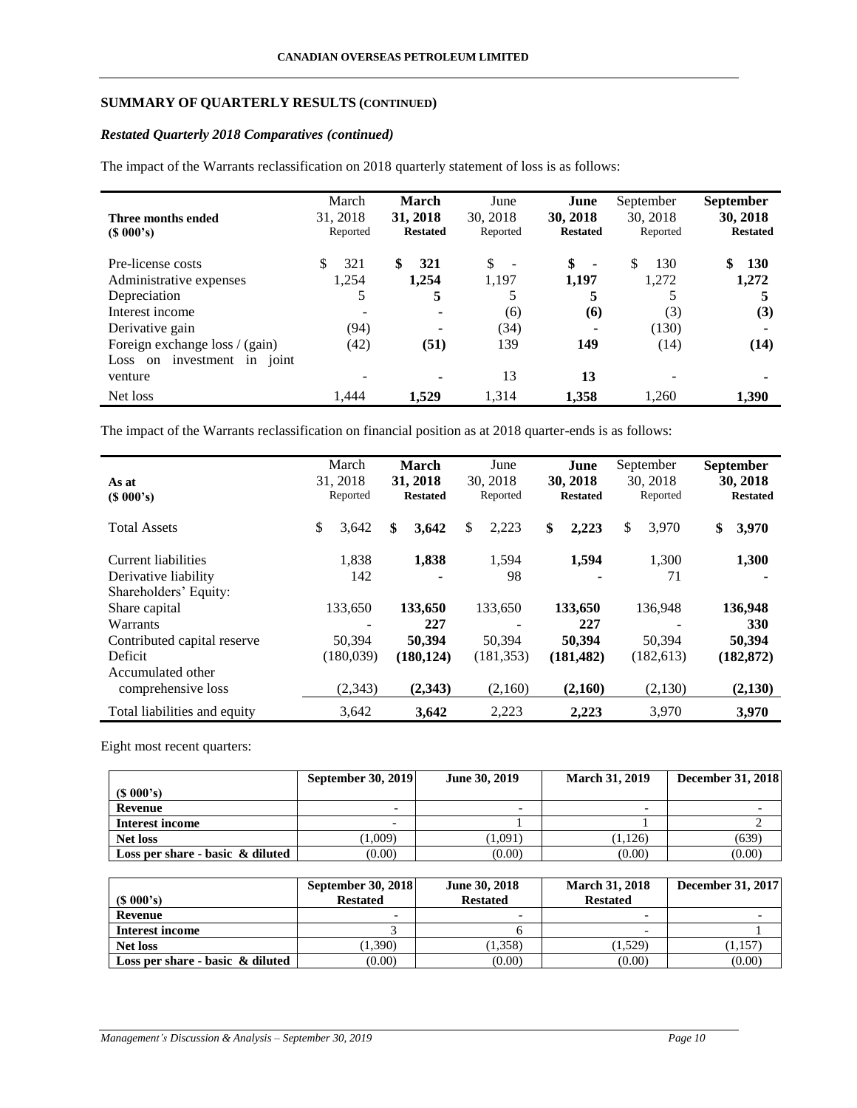# **SUMMARY OF QUARTERLY RESULTS (CONTINUED)**

# *Restated Quarterly 2018 Comparatives (continued)*

The impact of the Warrants reclassification on 2018 quarterly statement of loss is as follows:

| Three months ended<br>$(S\ 000's)$   | March<br>31, 2018<br>Reported | <b>March</b><br>31, 2018<br><b>Restated</b> | June<br>30, 2018<br>Reported   | June<br>30, 2018<br><b>Restated</b> | September<br>30, 2018<br>Reported | <b>September</b><br>30, 2018<br><b>Restated</b> |
|--------------------------------------|-------------------------------|---------------------------------------------|--------------------------------|-------------------------------------|-----------------------------------|-------------------------------------------------|
| Pre-license costs                    | \$<br>321                     | \$<br>321                                   | \$<br>$\overline{\phantom{a}}$ | \$<br>$\blacksquare$                | 130<br>\$.                        | \$<br><b>130</b>                                |
| Administrative expenses              | 1,254                         | 1.254                                       | 1,197                          | 1.197                               | 1,272                             | 1,272                                           |
| Depreciation                         | 5                             | 5                                           |                                | 5                                   |                                   |                                                 |
| Interest income                      |                               | ۰                                           | (6)                            | (6)                                 | (3)                               | (3)                                             |
| Derivative gain                      | (94)                          |                                             | (34)                           | ۰                                   | (130)                             | ۰                                               |
| Foreign exchange loss / (gain)       | (42)                          | (51)                                        | 139                            | 149                                 | (14)                              | (14)                                            |
| investment<br>in<br>Loss on<br>joint |                               |                                             |                                |                                     |                                   |                                                 |
| venture                              |                               | ۰                                           | 13                             | 13                                  |                                   |                                                 |
| Net loss                             | 1.444                         | 1,529                                       | 1,314                          | 1,358                               | 1,260                             | 1,390                                           |

The impact of the Warrants reclassification on financial position as at 2018 quarter-ends is as follows:

| As at<br>(S 000's)                                                   | March<br>31, 2018<br>Reported | <b>March</b><br>31, 2018<br><b>Restated</b> | June<br>30, 2018<br>Reported | June<br>30, 2018<br><b>Restated</b> | September<br>30, 2018<br>Reported | <b>September</b><br>30, 2018<br><b>Restated</b> |
|----------------------------------------------------------------------|-------------------------------|---------------------------------------------|------------------------------|-------------------------------------|-----------------------------------|-------------------------------------------------|
| <b>Total Assets</b>                                                  | \$<br>3,642                   | \$<br>3,642                                 | \$<br>2,223                  | \$<br>2,223                         | \$<br>3,970                       | \$<br>3,970                                     |
| Current liabilities<br>Derivative liability<br>Shareholders' Equity: | 1,838<br>142                  | 1,838<br>-                                  | 1.594<br>98                  | 1,594<br>-                          | 1,300<br>71                       | 1,300                                           |
| Share capital<br>Warrants                                            | 133.650                       | 133,650<br>227                              | 133,650                      | 133,650<br>227                      | 136,948                           | 136,948<br>330                                  |
| Contributed capital reserve<br>Deficit                               | 50,394<br>(180,039)           | 50,394<br>(180, 124)                        | 50,394<br>(181, 353)         | 50,394<br>(181, 482)                | 50,394<br>(182, 613)              | 50.394<br>(182, 872)                            |
| Accumulated other<br>comprehensive loss                              | (2,343)                       | (2,343)                                     | (2,160)                      | (2,160)                             | (2,130)                           | (2,130)                                         |
| Total liabilities and equity                                         | 3,642                         | 3,642                                       | 2,223                        | 2,223                               | 3.970                             | 3.970                                           |

Eight most recent quarters:

|                                     | <b>September 30, 2019</b> | June 30, 2019 | <b>March 31, 2019</b> | <b>December 31, 2018</b> |
|-------------------------------------|---------------------------|---------------|-----------------------|--------------------------|
| $(S\ 000's)$                        |                           |               |                       |                          |
| Revenue                             |                           |               |                       |                          |
| Interest income                     | $\overline{\phantom{0}}$  |               |                       |                          |
| <b>Net loss</b>                     | 1,009)                    | (1,091)       | (1,126)               | (639)                    |
| Loss per share - basic $\&$ diluted | (0.00)                    | (0.00)        | (0.00)                | (0.00)                   |

| $(S\ 000's)$                        | <b>September 30, 2018</b><br><b>Restated</b> | June 30, 2018<br><b>Restated</b> | <b>March 31, 2018</b><br><b>Restated</b> | <b>December 31, 2017</b> |
|-------------------------------------|----------------------------------------------|----------------------------------|------------------------------------------|--------------------------|
| Revenue                             |                                              | $\overline{\phantom{0}}$         | $\overline{\phantom{0}}$                 |                          |
| Interest income                     |                                              |                                  | $\overline{\phantom{0}}$                 |                          |
| <b>Net loss</b>                     | 1,390                                        | 1,358)                           | (1,529)                                  | 1,157                    |
| Loss per share - basic $\&$ diluted | (0.00)                                       | (0.00)                           | (0.00)                                   | (0.00)                   |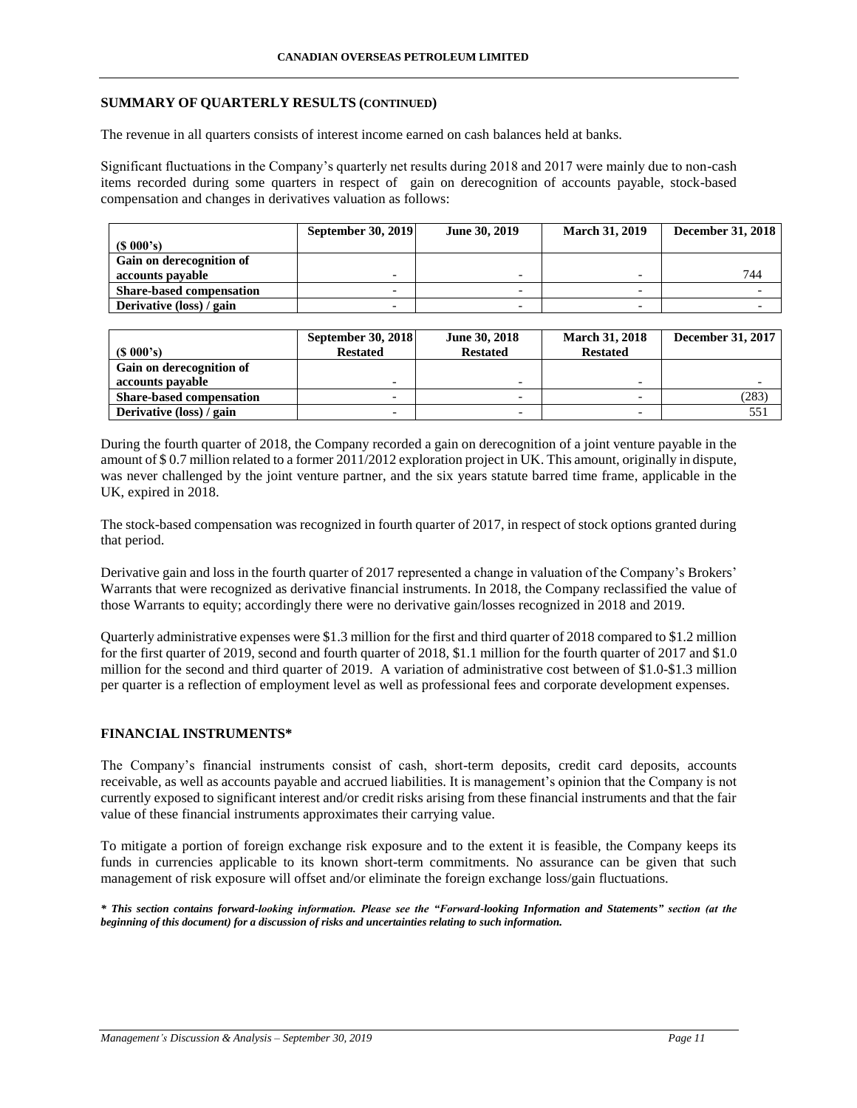### **SUMMARY OF QUARTERLY RESULTS (CONTINUED)**

The revenue in all quarters consists of interest income earned on cash balances held at banks.

Significant fluctuations in the Company's quarterly net results during 2018 and 2017 were mainly due to non-cash items recorded during some quarters in respect of gain on derecognition of accounts payable, stock-based compensation and changes in derivatives valuation as follows:

|                                 | <b>September 30, 2019</b> | June 30, 2019 | <b>March 31, 2019</b> | <b>December 31, 2018</b> |
|---------------------------------|---------------------------|---------------|-----------------------|--------------------------|
| (S 000's)                       |                           |               |                       |                          |
| Gain on derecognition of        |                           |               |                       |                          |
| accounts payable                |                           |               |                       | 744                      |
| <b>Share-based compensation</b> |                           |               |                       |                          |
| Derivative (loss) / gain        |                           |               |                       |                          |

| $(S\ 000's)$                    | <b>September 30, 2018</b><br><b>Restated</b> | June 30, 2018<br><b>Restated</b> | <b>March 31, 2018</b><br><b>Restated</b> | <b>December 31, 2017</b> |
|---------------------------------|----------------------------------------------|----------------------------------|------------------------------------------|--------------------------|
| Gain on derecognition of        |                                              |                                  |                                          |                          |
| accounts payable                |                                              |                                  |                                          |                          |
| <b>Share-based compensation</b> |                                              |                                  |                                          | (283)                    |
| Derivative (loss) / gain        |                                              |                                  |                                          | 551                      |

During the fourth quarter of 2018, the Company recorded a gain on derecognition of a joint venture payable in the amount of \$ 0.7 million related to a former 2011/2012 exploration project in UK. This amount, originally in dispute, was never challenged by the joint venture partner, and the six years statute barred time frame, applicable in the UK, expired in 2018.

The stock-based compensation was recognized in fourth quarter of 2017, in respect of stock options granted during that period.

Derivative gain and loss in the fourth quarter of 2017 represented a change in valuation of the Company's Brokers' Warrants that were recognized as derivative financial instruments. In 2018, the Company reclassified the value of those Warrants to equity; accordingly there were no derivative gain/losses recognized in 2018 and 2019.

Quarterly administrative expenses were \$1.3 million for the first and third quarter of 2018 compared to \$1.2 million for the first quarter of 2019, second and fourth quarter of 2018, \$1.1 million for the fourth quarter of 2017 and \$1.0 million for the second and third quarter of 2019. A variation of administrative cost between of \$1.0-\$1.3 million per quarter is a reflection of employment level as well as professional fees and corporate development expenses.

# **FINANCIAL INSTRUMENTS\***

The Company's financial instruments consist of cash, short-term deposits, credit card deposits, accounts receivable, as well as accounts payable and accrued liabilities. It is management's opinion that the Company is not currently exposed to significant interest and/or credit risks arising from these financial instruments and that the fair value of these financial instruments approximates their carrying value.

To mitigate a portion of foreign exchange risk exposure and to the extent it is feasible, the Company keeps its funds in currencies applicable to its known short-term commitments. No assurance can be given that such management of risk exposure will offset and/or eliminate the foreign exchange loss/gain fluctuations.

*\* This section contains forward-looking information. Please see the "Forward-looking Information and Statements" section (at the beginning of this document) for a discussion of risks and uncertainties relating to such information.*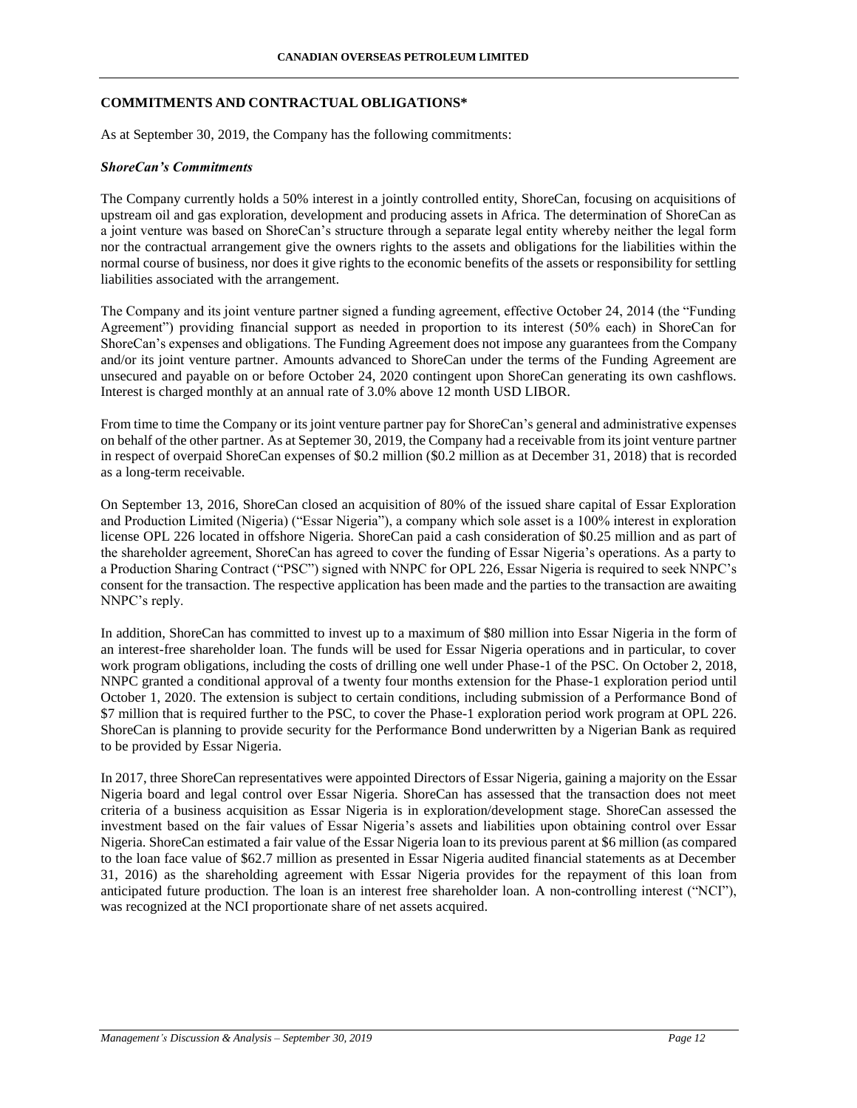### **COMMITMENTS AND CONTRACTUAL OBLIGATIONS\***

As at September 30, 2019, the Company has the following commitments:

#### *ShoreCan's Commitments*

The Company currently holds a 50% interest in a jointly controlled entity, ShoreCan, focusing on acquisitions of upstream oil and gas exploration, development and producing assets in Africa. The determination of ShoreCan as a joint venture was based on ShoreCan's structure through a separate legal entity whereby neither the legal form nor the contractual arrangement give the owners rights to the assets and obligations for the liabilities within the normal course of business, nor does it give rights to the economic benefits of the assets or responsibility for settling liabilities associated with the arrangement.

The Company and its joint venture partner signed a funding agreement, effective October 24, 2014 (the "Funding Agreement") providing financial support as needed in proportion to its interest (50% each) in ShoreCan for ShoreCan's expenses and obligations. The Funding Agreement does not impose any guarantees from the Company and/or its joint venture partner. Amounts advanced to ShoreCan under the terms of the Funding Agreement are unsecured and payable on or before October 24, 2020 contingent upon ShoreCan generating its own cashflows. Interest is charged monthly at an annual rate of 3.0% above 12 month USD LIBOR.

From time to time the Company or its joint venture partner pay for ShoreCan's general and administrative expenses on behalf of the other partner. As at Septemer 30, 2019, the Company had a receivable from its joint venture partner in respect of overpaid ShoreCan expenses of \$0.2 million (\$0.2 million as at December 31, 2018) that is recorded as a long-term receivable.

On September 13, 2016, ShoreCan closed an acquisition of 80% of the issued share capital of Essar Exploration and Production Limited (Nigeria) ("Essar Nigeria"), a company which sole asset is a 100% interest in exploration license OPL 226 located in offshore Nigeria. ShoreCan paid a cash consideration of \$0.25 million and as part of the shareholder agreement, ShoreCan has agreed to cover the funding of Essar Nigeria's operations. As a party to a Production Sharing Contract ("PSC") signed with NNPC for OPL 226, Essar Nigeria is required to seek NNPC's consent for the transaction. The respective application has been made and the parties to the transaction are awaiting NNPC's reply.

In addition, ShoreCan has committed to invest up to a maximum of \$80 million into Essar Nigeria in the form of an interest-free shareholder loan. The funds will be used for Essar Nigeria operations and in particular, to cover work program obligations, including the costs of drilling one well under Phase-1 of the PSC. On October 2, 2018, NNPC granted a conditional approval of a twenty four months extension for the Phase-1 exploration period until October 1, 2020. The extension is subject to certain conditions, including submission of a Performance Bond of \$7 million that is required further to the PSC, to cover the Phase-1 exploration period work program at OPL 226. ShoreCan is planning to provide security for the Performance Bond underwritten by a Nigerian Bank as required to be provided by Essar Nigeria.

In 2017, three ShoreCan representatives were appointed Directors of Essar Nigeria, gaining a majority on the Essar Nigeria board and legal control over Essar Nigeria. ShoreCan has assessed that the transaction does not meet criteria of a business acquisition as Essar Nigeria is in exploration/development stage. ShoreCan assessed the investment based on the fair values of Essar Nigeria's assets and liabilities upon obtaining control over Essar Nigeria. ShoreCan estimated a fair value of the Essar Nigeria loan to its previous parent at \$6 million (as compared to the loan face value of \$62.7 million as presented in Essar Nigeria audited financial statements as at December 31, 2016) as the shareholding agreement with Essar Nigeria provides for the repayment of this loan from anticipated future production. The loan is an interest free shareholder loan. A non-controlling interest ("NCI"), was recognized at the NCI proportionate share of net assets acquired.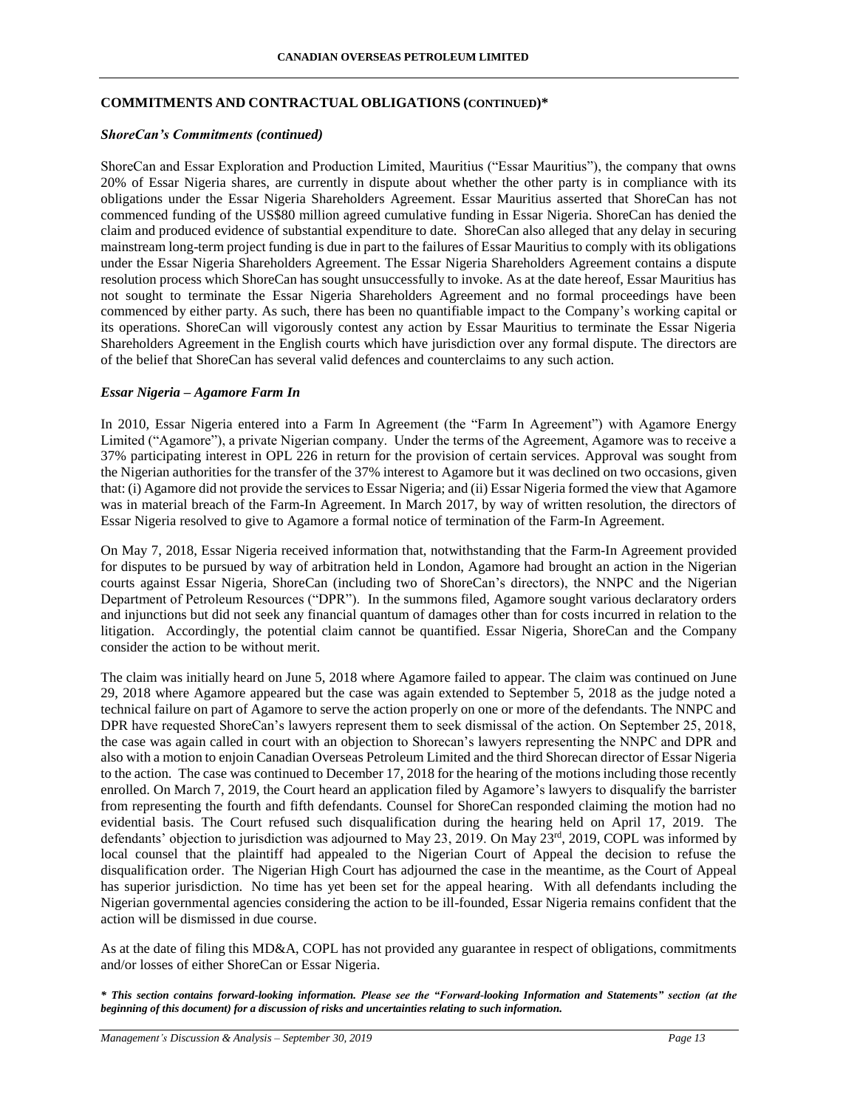## **COMMITMENTS AND CONTRACTUAL OBLIGATIONS (CONTINUED)\***

### *ShoreCan's Commitments (continued)*

ShoreCan and Essar Exploration and Production Limited, Mauritius ("Essar Mauritius"), the company that owns 20% of Essar Nigeria shares, are currently in dispute about whether the other party is in compliance with its obligations under the Essar Nigeria Shareholders Agreement. Essar Mauritius asserted that ShoreCan has not commenced funding of the US\$80 million agreed cumulative funding in Essar Nigeria. ShoreCan has denied the claim and produced evidence of substantial expenditure to date. ShoreCan also alleged that any delay in securing mainstream long-term project funding is due in part to the failures of Essar Mauritius to comply with its obligations under the Essar Nigeria Shareholders Agreement. The Essar Nigeria Shareholders Agreement contains a dispute resolution process which ShoreCan has sought unsuccessfully to invoke. As at the date hereof, Essar Mauritius has not sought to terminate the Essar Nigeria Shareholders Agreement and no formal proceedings have been commenced by either party. As such, there has been no quantifiable impact to the Company's working capital or its operations. ShoreCan will vigorously contest any action by Essar Mauritius to terminate the Essar Nigeria Shareholders Agreement in the English courts which have jurisdiction over any formal dispute. The directors are of the belief that ShoreCan has several valid defences and counterclaims to any such action.

### *Essar Nigeria – Agamore Farm In*

In 2010, Essar Nigeria entered into a Farm In Agreement (the "Farm In Agreement") with Agamore Energy Limited ("Agamore"), a private Nigerian company. Under the terms of the Agreement, Agamore was to receive a 37% participating interest in OPL 226 in return for the provision of certain services. Approval was sought from the Nigerian authorities for the transfer of the 37% interest to Agamore but it was declined on two occasions, given that: (i) Agamore did not provide the services to Essar Nigeria; and (ii) Essar Nigeria formed the view that Agamore was in material breach of the Farm-In Agreement. In March 2017, by way of written resolution, the directors of Essar Nigeria resolved to give to Agamore a formal notice of termination of the Farm-In Agreement.

On May 7, 2018, Essar Nigeria received information that, notwithstanding that the Farm-In Agreement provided for disputes to be pursued by way of arbitration held in London, Agamore had brought an action in the Nigerian courts against Essar Nigeria, ShoreCan (including two of ShoreCan's directors), the NNPC and the Nigerian Department of Petroleum Resources ("DPR"). In the summons filed, Agamore sought various declaratory orders and injunctions but did not seek any financial quantum of damages other than for costs incurred in relation to the litigation. Accordingly, the potential claim cannot be quantified. Essar Nigeria, ShoreCan and the Company consider the action to be without merit.

The claim was initially heard on June 5, 2018 where Agamore failed to appear. The claim was continued on June 29, 2018 where Agamore appeared but the case was again extended to September 5, 2018 as the judge noted a technical failure on part of Agamore to serve the action properly on one or more of the defendants. The NNPC and DPR have requested ShoreCan's lawyers represent them to seek dismissal of the action. On September 25, 2018, the case was again called in court with an objection to Shorecan's lawyers representing the NNPC and DPR and also with a motion to enjoin Canadian Overseas Petroleum Limited and the third Shorecan director of Essar Nigeria to the action. The case was continued to December 17, 2018 for the hearing of the motions including those recently enrolled. On March 7, 2019, the Court heard an application filed by Agamore's lawyers to disqualify the barrister from representing the fourth and fifth defendants. Counsel for ShoreCan responded claiming the motion had no evidential basis. The Court refused such disqualification during the hearing held on April 17, 2019. The defendants' objection to jurisdiction was adjourned to May 23, 2019. On May 23rd, 2019, COPL was informed by local counsel that the plaintiff had appealed to the Nigerian Court of Appeal the decision to refuse the disqualification order. The Nigerian High Court has adjourned the case in the meantime, as the Court of Appeal has superior jurisdiction. No time has yet been set for the appeal hearing. With all defendants including the Nigerian governmental agencies considering the action to be ill-founded, Essar Nigeria remains confident that the action will be dismissed in due course.

As at the date of filing this MD&A, COPL has not provided any guarantee in respect of obligations, commitments and/or losses of either ShoreCan or Essar Nigeria.

*\* This section contains forward-looking information. Please see the "Forward-looking Information and Statements" section (at the beginning of this document) for a discussion of risks and uncertainties relating to such information.*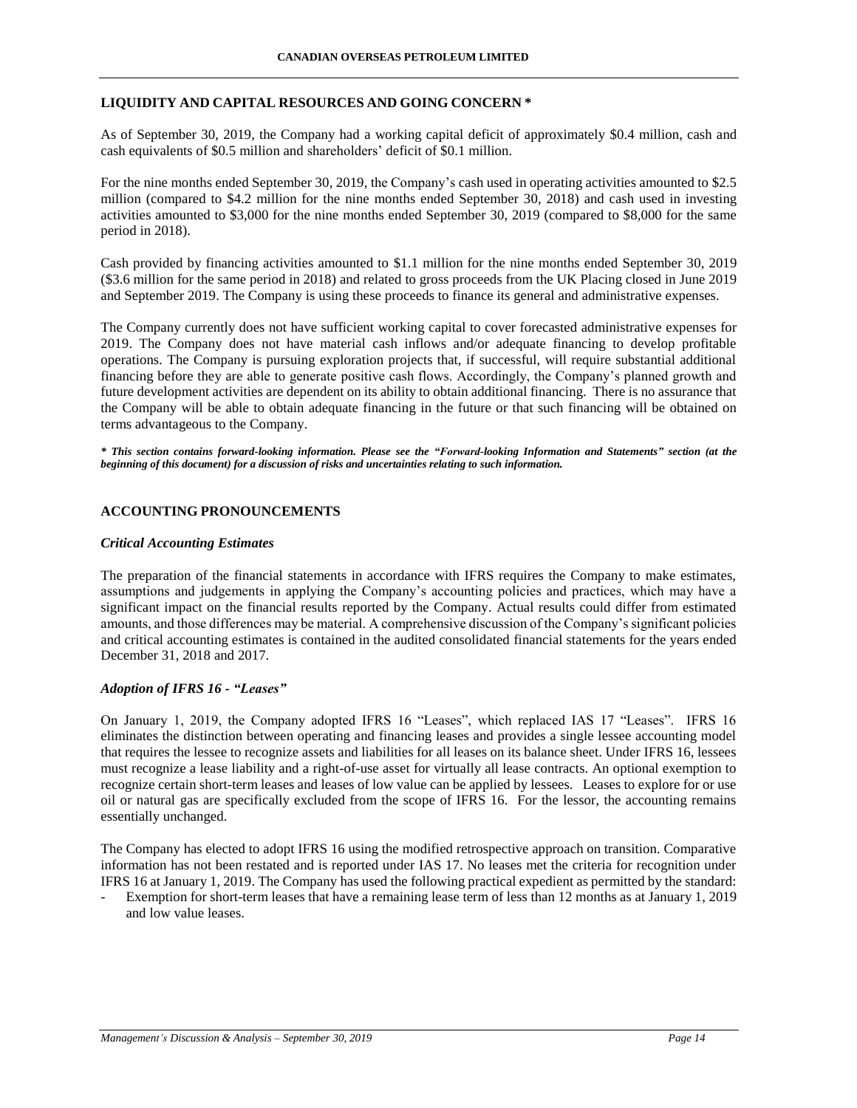## **LIQUIDITY AND CAPITAL RESOURCES AND GOING CONCERN \***

As of September 30, 2019, the Company had a working capital deficit of approximately \$0.4 million, cash and cash equivalents of \$0.5 million and shareholders' deficit of \$0.1 million.

For the nine months ended September 30, 2019, the Company's cash used in operating activities amounted to \$2.5 million (compared to \$4.2 million for the nine months ended September 30, 2018) and cash used in investing activities amounted to \$3,000 for the nine months ended September 30, 2019 (compared to \$8,000 for the same period in 2018).

Cash provided by financing activities amounted to \$1.1 million for the nine months ended September 30, 2019 (\$3.6 million for the same period in 2018) and related to gross proceeds from the UK Placing closed in June 2019 and September 2019. The Company is using these proceeds to finance its general and administrative expenses.

The Company currently does not have sufficient working capital to cover forecasted administrative expenses for 2019. The Company does not have material cash inflows and/or adequate financing to develop profitable operations. The Company is pursuing exploration projects that, if successful, will require substantial additional financing before they are able to generate positive cash flows. Accordingly, the Company's planned growth and future development activities are dependent on its ability to obtain additional financing. There is no assurance that the Company will be able to obtain adequate financing in the future or that such financing will be obtained on terms advantageous to the Company.

*\* This section contains forward-looking information. Please see the "Forward-looking Information and Statements" section (at the beginning of this document) for a discussion of risks and uncertainties relating to such information.*

## **ACCOUNTING PRONOUNCEMENTS**

### *Critical Accounting Estimates*

The preparation of the financial statements in accordance with IFRS requires the Company to make estimates, assumptions and judgements in applying the Company's accounting policies and practices, which may have a significant impact on the financial results reported by the Company. Actual results could differ from estimated amounts, and those differences may be material. A comprehensive discussion of the Company's significant policies and critical accounting estimates is contained in the audited consolidated financial statements for the years ended December 31, 2018 and 2017.

### *Adoption of IFRS 16 - "Leases"*

On January 1, 2019, the Company adopted IFRS 16 "Leases", which replaced IAS 17 "Leases". IFRS 16 eliminates the distinction between operating and financing leases and provides a single lessee accounting model that requires the lessee to recognize assets and liabilities for all leases on its balance sheet. Under IFRS 16, lessees must recognize a lease liability and a right-of-use asset for virtually all lease contracts. An optional exemption to recognize certain short-term leases and leases of low value can be applied by lessees. Leases to explore for or use oil or natural gas are specifically excluded from the scope of IFRS 16. For the lessor, the accounting remains essentially unchanged.

The Company has elected to adopt IFRS 16 using the modified retrospective approach on transition. Comparative information has not been restated and is reported under IAS 17. No leases met the criteria for recognition under IFRS 16 at January 1, 2019. The Company has used the following practical expedient as permitted by the standard:

Exemption for short-term leases that have a remaining lease term of less than 12 months as at January 1, 2019 and low value leases.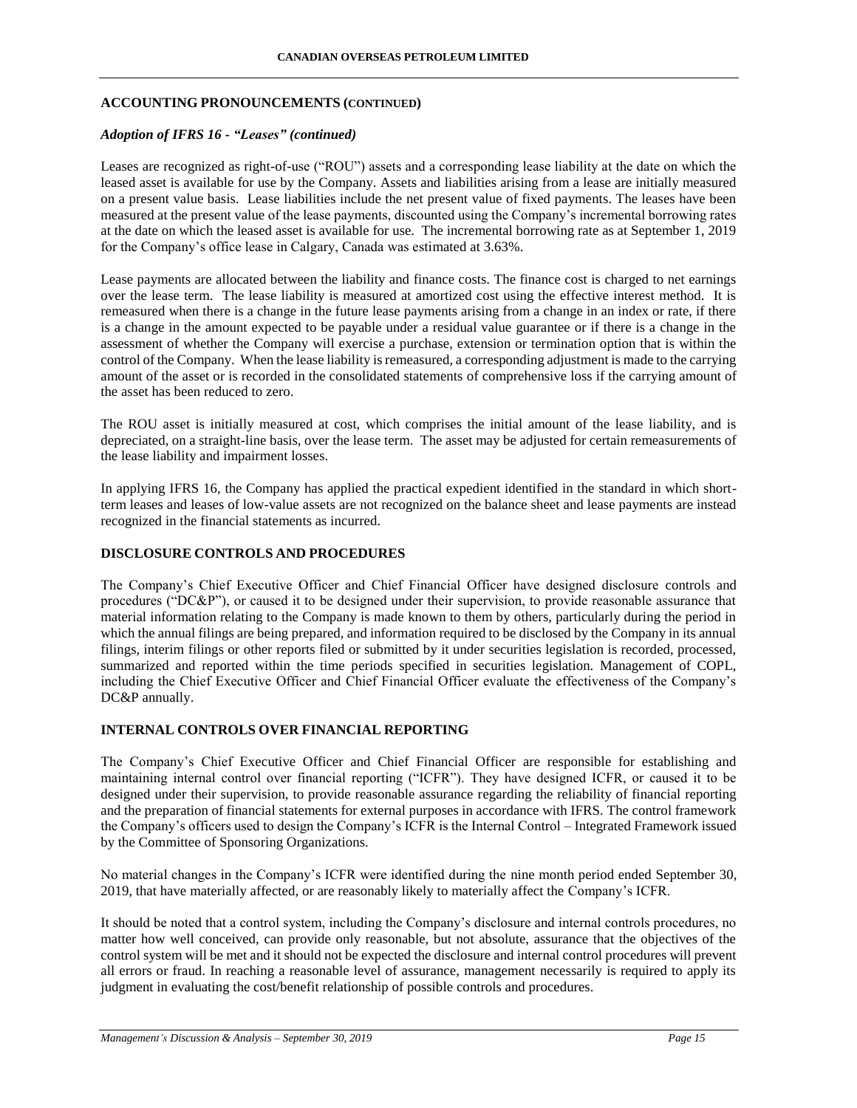# **ACCOUNTING PRONOUNCEMENTS (CONTINUED)**

## *Adoption of IFRS 16 - "Leases" (continued)*

Leases are recognized as right-of-use ("ROU") assets and a corresponding lease liability at the date on which the leased asset is available for use by the Company. Assets and liabilities arising from a lease are initially measured on a present value basis. Lease liabilities include the net present value of fixed payments. The leases have been measured at the present value of the lease payments, discounted using the Company's incremental borrowing rates at the date on which the leased asset is available for use. The incremental borrowing rate as at September 1, 2019 for the Company's office lease in Calgary, Canada was estimated at 3.63%.

Lease payments are allocated between the liability and finance costs. The finance cost is charged to net earnings over the lease term. The lease liability is measured at amortized cost using the effective interest method. It is remeasured when there is a change in the future lease payments arising from a change in an index or rate, if there is a change in the amount expected to be payable under a residual value guarantee or if there is a change in the assessment of whether the Company will exercise a purchase, extension or termination option that is within the control of the Company. When the lease liability is remeasured, a corresponding adjustment is made to the carrying amount of the asset or is recorded in the consolidated statements of comprehensive loss if the carrying amount of the asset has been reduced to zero.

The ROU asset is initially measured at cost, which comprises the initial amount of the lease liability, and is depreciated, on a straight-line basis, over the lease term. The asset may be adjusted for certain remeasurements of the lease liability and impairment losses.

In applying IFRS 16, the Company has applied the practical expedient identified in the standard in which shortterm leases and leases of low-value assets are not recognized on the balance sheet and lease payments are instead recognized in the financial statements as incurred.

## **DISCLOSURE CONTROLS AND PROCEDURES**

The Company's Chief Executive Officer and Chief Financial Officer have designed disclosure controls and procedures ("DC&P"), or caused it to be designed under their supervision, to provide reasonable assurance that material information relating to the Company is made known to them by others, particularly during the period in which the annual filings are being prepared, and information required to be disclosed by the Company in its annual filings, interim filings or other reports filed or submitted by it under securities legislation is recorded, processed, summarized and reported within the time periods specified in securities legislation. Management of COPL, including the Chief Executive Officer and Chief Financial Officer evaluate the effectiveness of the Company's DC&P annually.

### **INTERNAL CONTROLS OVER FINANCIAL REPORTING**

The Company's Chief Executive Officer and Chief Financial Officer are responsible for establishing and maintaining internal control over financial reporting ("ICFR"). They have designed ICFR, or caused it to be designed under their supervision, to provide reasonable assurance regarding the reliability of financial reporting and the preparation of financial statements for external purposes in accordance with IFRS. The control framework the Company's officers used to design the Company's ICFR is the Internal Control – Integrated Framework issued by the Committee of Sponsoring Organizations.

No material changes in the Company's ICFR were identified during the nine month period ended September 30, 2019, that have materially affected, or are reasonably likely to materially affect the Company's ICFR.

It should be noted that a control system, including the Company's disclosure and internal controls procedures, no matter how well conceived, can provide only reasonable, but not absolute, assurance that the objectives of the control system will be met and it should not be expected the disclosure and internal control procedures will prevent all errors or fraud. In reaching a reasonable level of assurance, management necessarily is required to apply its judgment in evaluating the cost/benefit relationship of possible controls and procedures.